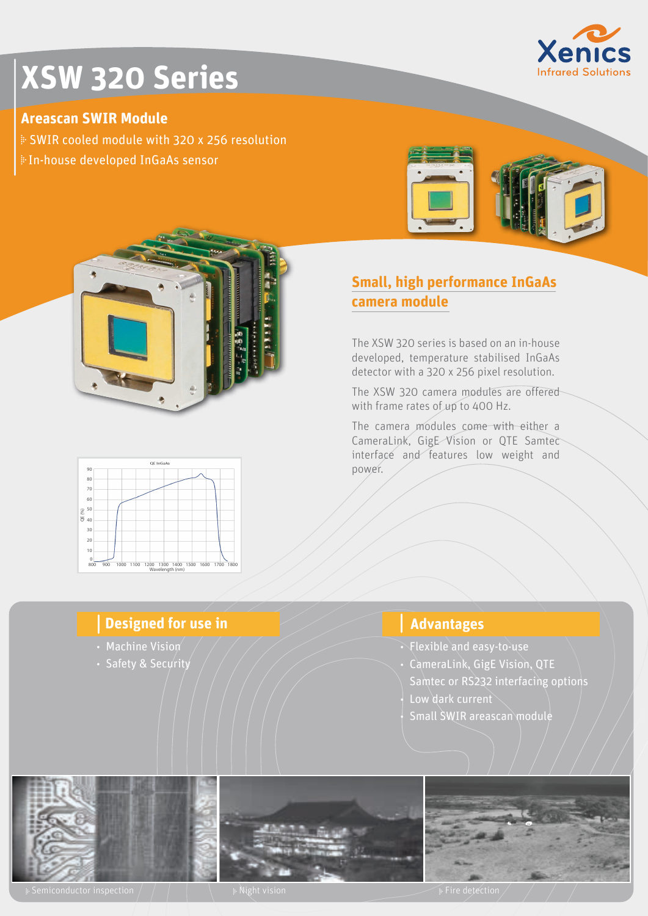# **XSW 320 Series**

#### **Areascan SWIR Module**

**▶** SWIR cooled module with 320 x 256 resolution **▶**In-house developed InGaAs sensor





#### power. 80 70 60 50 <sub>ම</sub> >∪<br>පි 40 30 20 10 0 800 900 1000 1100 1200 1300 1400 1500 1600 1700 1800 Wavelength (nm)

## **Designed for use in**

- Machine Vision
- Safety & Security

### **Small, high performance InGaAs camera module**

The XSW 320 series is based on an in-house developed, temperature stabilised InGaAs detector with a 320 x 256 pixel resolution.

The XSW 320 camera modules are offered with frame rates of up to 400 Hz.

The camera modules come with either a CameraLink, GigE Vision or QTE Samtec interface and features low weight and

### **Advantages**

• Flexible and easy-to-use CameraLink, GigE Vision, QTE Samtec or RS232 interfacing options Low dark current • Small SWIR areascan module